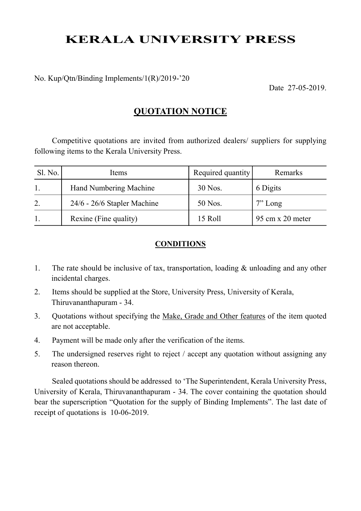# KERALA UNIVERSITY PRESS

No. Kup/Qtn/Binding Implements/1(R)/2019-'20

Date 27-05-2019.

### QUOTATION NOTICE

Competitive quotations are invited from authorized dealers/ suppliers for supplying following items to the Kerala University Press.

| Sl. No. | Items                       | Required quantity | Remarks                                 |
|---------|-----------------------------|-------------------|-----------------------------------------|
|         | Hand Numbering Machine      | 30 Nos.           | 6 Digits                                |
|         | 24/6 - 26/6 Stapler Machine | 50 Nos.           | $7"$ Long                               |
|         | Rexine (Fine quality)       | 15 Roll           | $95 \text{ cm} \times 20 \text{ meter}$ |

#### CONDITIONS

- 1. The rate should be inclusive of tax, transportation, loading & unloading and any other incidental charges.
- 2. Items should be supplied at the Store, University Press, University of Kerala, Thiruvananthapuram - 34.
- 3. Quotations without specifying the Make, Grade and Other features of the item quoted are not acceptable.
- 4. Payment will be made only after the verification of the items.
- 5. The undersigned reserves right to reject / accept any quotation without assigning any reason thereon.

Sealed quotations should be addressed to 'The Superintendent, Kerala University Press, University of Kerala, Thiruvananthapuram - 34. The cover containing the quotation should bear the superscription "Quotation for the supply of Binding Implements". The last date of receipt of quotations is 10-06-2019.